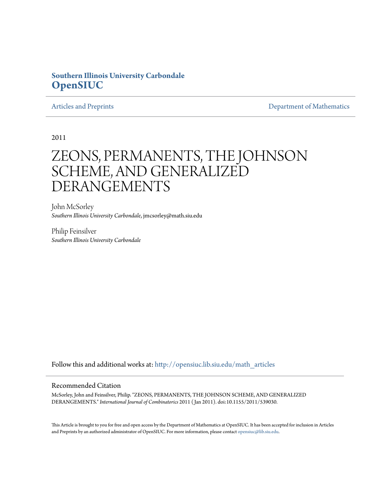## **Southern Illinois University Carbondale [OpenSIUC](http://opensiuc.lib.siu.edu?utm_source=opensiuc.lib.siu.edu%2Fmath_articles%2F117&utm_medium=PDF&utm_campaign=PDFCoverPages)**

[Articles and Preprints](http://opensiuc.lib.siu.edu/math_articles?utm_source=opensiuc.lib.siu.edu%2Fmath_articles%2F117&utm_medium=PDF&utm_campaign=PDFCoverPages) **[Department of Mathematics](http://opensiuc.lib.siu.edu/math?utm_source=opensiuc.lib.siu.edu%2Fmath_articles%2F117&utm_medium=PDF&utm_campaign=PDFCoverPages)** Department of Mathematics

2011

# ZEONS, PERMANENTS, THE JOHNSON SCHEME, AND GENERALIZED DERANGEMENTS

John McSorley *Southern Illinois University Carbondale*, jmcsorley@math.siu.edu

Philip Feinsilver *Southern Illinois University Carbondale*

Follow this and additional works at: [http://opensiuc.lib.siu.edu/math\\_articles](http://opensiuc.lib.siu.edu/math_articles?utm_source=opensiuc.lib.siu.edu%2Fmath_articles%2F117&utm_medium=PDF&utm_campaign=PDFCoverPages)

#### Recommended Citation

McSorley, John and Feinsilver, Philip. "ZEONS, PERMANENTS, THE JOHNSON SCHEME, AND GENERALIZED DERANGEMENTS." *International Journal of Combinatorics* 2011 ( Jan 2011). doi:10.1155/2011/539030.

This Article is brought to you for free and open access by the Department of Mathematics at OpenSIUC. It has been accepted for inclusion in Articles and Preprints by an authorized administrator of OpenSIUC. For more information, please contact [opensiuc@lib.siu.edu](mailto:opensiuc@lib.siu.edu).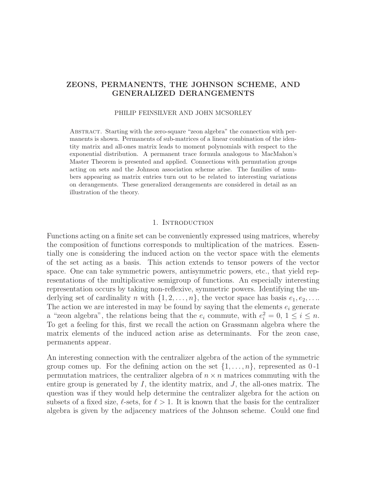### ZEONS, PERMANENTS, THE JOHNSON SCHEME, AND GENERALIZED DERANGEMENTS

#### PHILIP FEINSILVER AND JOHN MCSORLEY

Abstract. Starting with the zero-square "zeon algebra" the connection with permanents is shown. Permanents of sub-matrices of a linear combination of the identity matrix and all-ones matrix leads to moment polynomials with respect to the exponential distribution. A permanent trace formula analogous to MacMahon's Master Theorem is presented and applied. Connections with permutation groups acting on sets and the Johnson association scheme arise. The families of numbers appearing as matrix entries turn out to be related to interesting variations on derangements. These generalized derangements are considered in detail as an illustration of the theory.

#### 1. INTRODUCTION

Functions acting on a finite set can be conveniently expressed using matrices, whereby the composition of functions corresponds to multiplication of the matrices. Essentially one is considering the induced action on the vector space with the elements of the set acting as a basis. This action extends to tensor powers of the vector space. One can take symmetric powers, antisymmetric powers, etc., that yield representations of the multiplicative semigroup of functions. An especially interesting representation occurs by taking non-reflexive, symmetric powers. Identifying the underlying set of cardinality n with  $\{1, 2, \ldots, n\}$ , the vector space has basis  $e_1, e_2, \ldots$ The action we are interested in may be found by saying that the elements  $e_i$  generate a "zeon algebra", the relations being that the  $e_i$  commute, with  $e_i^2 = 0$ ,  $1 \le i \le n$ . To get a feeling for this, first we recall the action on Grassmann algebra where the matrix elements of the induced action arise as determinants. For the zeon case, permanents appear.

An interesting connection with the centralizer algebra of the action of the symmetric group comes up. For the defining action on the set  $\{1,\ldots,n\}$ , represented as 0-1 permutation matrices, the centralizer algebra of  $n \times n$  matrices commuting with the entire group is generated by  $I$ , the identity matrix, and  $J$ , the all-ones matrix. The question was if they would help determine the centralizer algebra for the action on subsets of a fixed size,  $\ell$ -sets, for  $\ell > 1$ . It is known that the basis for the centralizer algebra is given by the adjacency matrices of the Johnson scheme. Could one find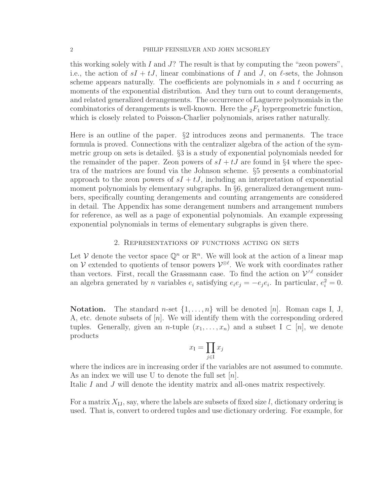this working solely with I and  $J$ ? The result is that by computing the "zeon powers", i.e., the action of  $sI + tJ$ , linear combinations of I and J, on  $\ell$ -sets, the Johnson scheme appears naturally. The coefficients are polynomials in  $s$  and  $t$  occurring as moments of the exponential distribution. And they turn out to count derangements, and related generalized derangements. The occurrence of Laguerre polynomials in the combinatorics of derangements is well-known. Here the  $_2F_1$  hypergeometric function, which is closely related to Poisson-Charlier polynomials, arises rather naturally.

Here is an outline of the paper. §2 introduces zeons and permanents. The trace formula is proved. Connections with the centralizer algebra of the action of the symmetric group on sets is detailed. §3 is a study of exponential polynomials needed for the remainder of the paper. Zeon powers of  $sI + tJ$  are found in §4 where the spectra of the matrices are found via the Johnson scheme. §5 presents a combinatorial approach to the zeon powers of  $sI + tJ$ , including an interpretation of exponential moment polynomials by elementary subgraphs. In §6, generalized derangement numbers, specifically counting derangements and counting arrangements are considered in detail. The Appendix has some derangement numbers and arrangement numbers for reference, as well as a page of exponential polynomials. An example expressing exponential polynomials in terms of elementary subgraphs is given there.

#### 2. Representations of functions acting on sets

Let V denote the vector space  $\mathbb{Q}^n$  or  $\mathbb{R}^n$ . We will look at the action of a linear map on  $\mathcal V$  extended to quotients of tensor powers  $\mathcal V^{\otimes \ell}$ . We work with coordinates rather than vectors. First, recall the Grassmann case. To find the action on  $\mathcal{V}^{\wedge \ell}$  consider an algebra generated by *n* variables  $e_i$  satisfying  $e_i e_j = -e_j e_i$ . In particular,  $e_i^2 = 0$ .

**Notation.** The standard *n*-set  $\{1, \ldots, n\}$  will be denoted [*n*]. Roman caps I, J, A, etc. denote subsets of  $[n]$ . We will identify them with the corresponding ordered tuples. Generally, given an *n*-tuple  $(x_1, \ldots, x_n)$  and a subset  $I \subset [n]$ , we denote products

$$
x_{\rm I}=\prod_{j\in{\rm I}}x_j
$$

where the indices are in increasing order if the variables are not assumed to commute. As an index we will use U to denote the full set  $[n]$ .

Italic I and J will denote the identity matrix and all-ones matrix respectively.

For a matrix  $X_{IJ}$ , say, where the labels are subsets of fixed size l, dictionary ordering is used. That is, convert to ordered tuples and use dictionary ordering. For example, for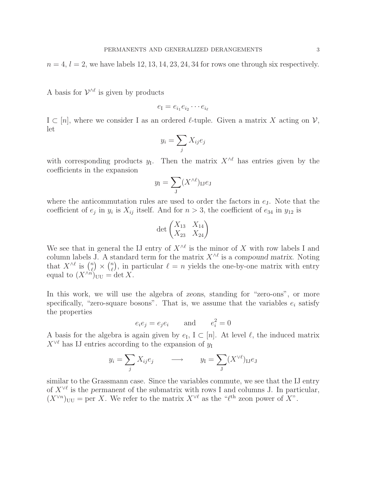$n = 4$ ,  $l = 2$ , we have labels 12, 13, 14, 23, 24, 34 for rows one through six respectively.

A basis for  $\mathcal{V}^{\wedge \ell}$  is given by products

$$
e_{\rm I}=e_{i_1}e_{i_2}\cdots e_{i_\ell}
$$

 $I \subset [n]$ , where we consider I as an ordered  $\ell$ -tuple. Given a matrix X acting on V, let

$$
y_i = \sum_j X_{ij} e_j
$$

with corresponding products  $y_1$ . Then the matrix  $X^{\wedge \ell}$  has entries given by the coefficients in the expansion

$$
y_{\rm I} = \sum_{\rm J} (X^{\wedge \ell})_{\rm IJ} e_{\rm J}
$$

where the anticommutation rules are used to order the factors in  $e_J$ . Note that the coefficient of  $e_j$  in  $y_i$  is  $X_{ij}$  itself. And for  $n > 3$ , the coefficient of  $e_{34}$  in  $y_{12}$  is

$$
\det\begin{pmatrix} X_{13} & X_{14} \\ X_{23} & X_{24} \end{pmatrix}
$$

We see that in general the IJ entry of  $X^{\wedge \ell}$  is the minor of X with row labels I and column labels J. A standard term for the matrix  $X^{\wedge \ell}$  is a compound matrix. Noting that  $X^{\wedge \ell}$  is  $\binom{n}{\ell}$  $\binom{n}{\ell} \times \binom{n}{\ell}$  $\binom{n}{\ell}$ , in particular  $\ell = n$  yields the one-by-one matrix with entry equal to  $(X^{\wedge n})_{UU} = \det X$ .

In this work, we will use the algebra of zeons, standing for "zero-ons", or more specifically, "zero-square bosons". That is, we assume that the variables  $e_i$  satisfy the properties

$$
e_i e_j = e_j e_i \qquad \text{and} \qquad e_i^2 = 0
$$

A basis for the algebra is again given by  $e_I$ ,  $I \subset [n]$ . At level  $\ell$ , the induced matrix  $X^{\vee\ell}$  has IJ entries according to the expansion of  $y_I$ 

$$
y_i = \sum_j X_{ij} e_j
$$
  $\longrightarrow$   $y_I = \sum_J (X^{\vee \ell})_{IJ} e_J$ 

similar to the Grassmann case. Since the variables commute, we see that the IJ entry of  $X^{\vee\ell}$  is the permanent of the submatrix with rows I and columns J. In particular,  $(X^{\vee n})_{UU}$  = per X. We refer to the matrix  $X^{\vee \ell}$  as the " $\ell^{\text{th}}$  zeon power of X".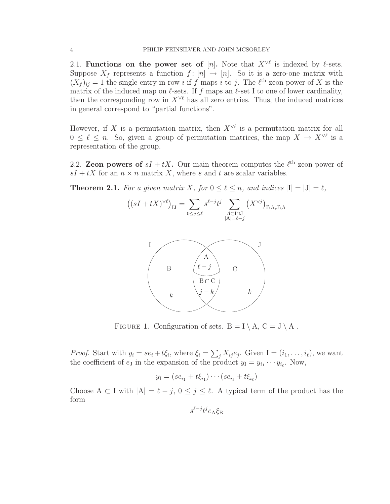2.1. Functions on the power set of [n]. Note that  $X^{\vee\ell}$  is indexed by  $\ell$ -sets. Suppose  $X_f$  represents a function  $f : [n] \to [n]$ . So it is a zero-one matrix with  $(X_f)_{ij} = 1$  the single entry in row i if f maps i to j. The  $\ell^{\text{th}}$  zeon power of X is the matrix of the induced map on  $\ell$ -sets. If f maps an  $\ell$ -set I to one of lower cardinality, then the corresponding row in  $X^{\vee\ell}$  has all zero entries. Thus, the induced matrices in general correspond to "partial functions".

However, if X is a permutation matrix, then  $X^{\vee\ell}$  is a permutation matrix for all  $0 \leq \ell \leq n$ . So, given a group of permutation matrices, the map  $X \to X^{\vee \ell}$  is a representation of the group.

2.2. **Zeon powers of**  $sI + tX$ . Our main theorem computes the  $\ell^{\text{th}}$  zeon power of  $sI + tX$  for an  $n \times n$  matrix X, where s and t are scalar variables.

**Theorem 2.1.** For a given matrix X, for  $0 \leq \ell \leq n$ , and indices  $|I| = |J| = \ell$ ,

$$
\left( (sI + tX)^{\vee \ell} \right)_{\mathrm{IJ}} = \sum_{0 \le j \le \ell} s^{\ell - j} t^j \sum_{\substack{A \subset \mathrm{I} \cap \mathrm{J} \\ |A| = \ell - j}} \left( X^{\vee j} \right)_{\mathrm{I} \setminus \mathrm{A}, \mathrm{J} \setminus \mathrm{A}}
$$



FIGURE 1. Configuration of sets.  $B = I \setminus A$ ,  $C = J \setminus A$ .

*Proof.* Start with  $y_i = se_i + t\xi_i$ , where  $\xi_i = \sum_j X_{ij}e_j$ . Given  $I = (i_1, \ldots, i_\ell)$ , we want the coefficient of  $e_J$  in the expansion of the product  $y_I = y_{i_1} \cdots y_{i_\ell}$ . Now,

$$
y_1 = (se_{i_1} + t\xi_{i_1}) \cdots (se_{i_\ell} + t\xi_{i_\ell})
$$

Choose A  $\subset$  I with  $|A| = \ell - j$ ,  $0 \le j \le \ell$ . A typical term of the product has the form

$$
s^{\ell-j}t^je_{\rm A}\xi_{\rm B}
$$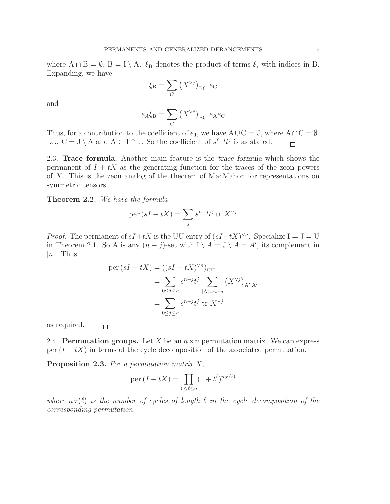where  $A \cap B = \emptyset$ ,  $B = I \setminus A$ .  $\xi_B$  denotes the product of terms  $\xi_i$  with indices in B. Expanding, we have

$$
\xi_{\rm B} = \sum_C \left( X^{\vee j} \right)_{\rm BC} e_{\rm C}
$$

and

$$
e_A \xi_B = \sum_C (X^{\vee j})_{BC} e_A e_C
$$

Thus, for a contribution to the coefficient of  $e_J$ , we have  $A\cup C = J$ , where  $A\cap C = \emptyset$ . I.e., C = J \ A and A ⊂ I ∩ J. So the coefficient of  $s^{\ell-j}t^j$  is as stated.  $\Box$ 

2.3. Trace formula. Another main feature is the trace formula which shows the permanent of  $I + tX$  as the generating function for the traces of the zeon powers of X. This is the zeon analog of the theorem of MacMahon for representations on symmetric tensors.

#### Theorem 2.2. *We have the formula*

$$
per(sI + tX) = \sum_{j} s^{n-j} t^j tr X^{\vee j}
$$

*Proof.* The permanent of  $sI+tX$  is the UU entry of  $(sI+tX)^{\vee n}$ . Specialize I = J = U in Theorem 2.1. So A is any  $(n-j)$ -set with  $I \setminus A = J \setminus A = A'$ , its complement in  $[n]$ . Thus

$$
\begin{aligned} \text{per}(sI + tX) &= ((sI + tX)^{\vee n})_{UU} \\ &= \sum_{0 \le j \le n} s^{n-j} t^j \sum_{|A| = n-j} (X^{\vee j})_{A', A'} \\ &= \sum_{0 \le j \le n} s^{n-j} t^j \text{ tr } X^{\vee j} \end{aligned}
$$

as required.  $\Box$ 

2.4. **Permutation groups.** Let X be an  $n \times n$  permutation matrix. We can express per  $(I + tX)$  in terms of the cycle decomposition of the associated permutation.

Proposition 2.3. *For a permutation matrix* X*,*

$$
\operatorname{per}(I + tX) = \prod_{0 \le \ell \le n} (1 + t^{\ell})^{n_X(\ell)}
$$

*where*  $n_X(\ell)$  *is the number of cycles of length*  $\ell$  *in the cycle decomposition of the corresponding permutation.*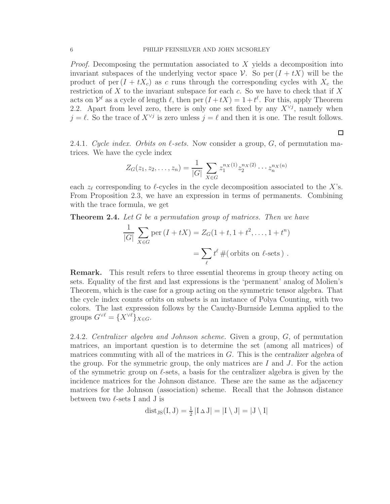*Proof.* Decomposing the permutation associated to X yields a decomposition into invariant subspaces of the underlying vector space V. So per  $(I + tX)$  will be the product of per  $(I + tX_c)$  as c runs through the corresponding cycles with  $X_c$  the restriction of  $X$  to the invariant subspace for each  $c$ . So we have to check that if  $X$ acts on  $\mathcal{V}^{\ell}$  as a cycle of length  $\ell$ , then per  $(I+tX)=1+t^{\ell}$ . For this, apply Theorem 2.2. Apart from level zero, there is only one set fixed by any  $X^{\vee j}$ , namely when  $j = \ell$ . So the trace of  $X^{\vee j}$  is zero unless  $j = \ell$  and then it is one. The result follows.

2.4.1. *Cycle index. Orbits on*  $\ell$ -sets. Now consider a group,  $G$ , of permutation matrices. We have the cycle index

$$
Z_G(z_1, z_2, \dots, z_n) = \frac{1}{|G|} \sum_{X \in G} z_1^{n_X(1)} z_2^{n_X(2)} \cdots z_n^{n_X(n)}
$$

each  $z_{\ell}$  corresponding to  $\ell$ -cycles in the cycle decomposition associated to the X's. From Proposition 2.3, we have an expression in terms of permanents. Combining with the trace formula, we get

Theorem 2.4. *Let* G *be a permutation group of matrices. Then we have*

$$
\frac{1}{|G|} \sum_{X \in G} \text{per}(I + tX) = Z_G(1 + t, 1 + t^2, \dots, 1 + t^n)
$$

$$
= \sum_{\ell} t^{\ell} \#(\text{orbits on }\ell\text{-sets}) .
$$

Remark. This result refers to three essential theorems in group theory acting on sets. Equality of the first and last expressions is the 'permanent' analog of Molien's Theorem, which is the case for a group acting on the symmetric tensor algebra. That the cycle index counts orbits on subsets is an instance of Polya Counting, with two colors. The last expression follows by the Cauchy-Burnside Lemma applied to the groups  $G^{\vee\ell} = \{X^{\vee\ell}\}_{X \in G}$ .

2.4.2. *Centralizer algebra and Johnson scheme.* Given a group, G, of permutation matrices, an important question is to determine the set (among all matrices) of matrices commuting with all of the matrices in  $G$ . This is the centralizer algebra of the group. For the symmetric group, the only matrices are  $I$  and  $J$ . For the action of the symmetric group on  $\ell$ -sets, a basis for the centralizer algebra is given by the incidence matrices for the Johnson distance. These are the same as the adjacency matrices for the Johnson (association) scheme. Recall that the Johnson distance between two  $\ell$ -sets I and J is

$$
dist_{JS}(I,J) = \frac{1}{2} |I \triangle J| = |I \setminus J| = |J \setminus I|
$$

#### $\Box$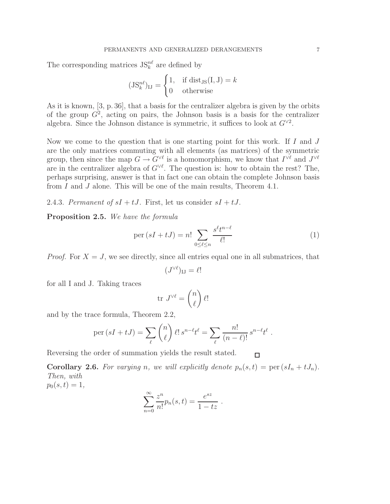The corresponding matrices  $JS_k^{n\ell}$  are defined by

$$
(JS_k^{n\ell})_{IJ} = \begin{cases} 1, & \text{if } dist_{JS}(I, J) = k \\ 0 & \text{otherwise} \end{cases}
$$

As it is known, [3, p. 36], that a basis for the centralizer algebra is given by the orbits of the group  $G^2$ , acting on pairs, the Johnson basis is a basis for the centralizer algebra. Since the Johnson distance is symmetric, it suffices to look at  $G^{\vee 2}$ .

Now we come to the question that is one starting point for this work. If  $I$  and  $J$ are the only matrices commuting with all elements (as matrices) of the symmetric group, then since the map  $G \to G^{\vee \ell}$  is a homomorphism, we know that  $I^{\vee \ell}$  and  $J^{\vee \ell}$ are in the centralizer algebra of  $G^{\vee \ell}$ . The question is: how to obtain the rest? The, perhaps surprising, answer is that in fact one can obtain the complete Johnson basis from I and J alone. This will be one of the main results, Theorem 4.1.

2.4.3. *Permanent of*  $sI + tJ$ . First, let us consider  $sI + tJ$ .

Proposition 2.5. *We have the formula*

$$
\text{per}(sI + tJ) = n! \sum_{0 \le \ell \le n} \frac{s^{\ell}t^{n-\ell}}{\ell!} \tag{1}
$$

*Proof.* For  $X = J$ , we see directly, since all entries equal one in all submatrices, that

$$
(J^{\vee\ell})_{\mathrm{IJ}} = \ell!
$$

for all I and J. Taking traces

$$
\operatorname{tr}\,J^{\vee\ell}=\binom{n}{\ell}\,\ell!
$$

and by the trace formula, Theorem 2.2,

$$
\operatorname{per}(sI+tJ) = \sum_{\ell} \binom{n}{\ell} \ell! \, s^{n-\ell} t^{\ell} = \sum_{\ell} \frac{n!}{(n-\ell)!} \, s^{n-\ell} t^{\ell} \; .
$$

Reversing the order of summation yields the result stated.  $\Box$ 

**Corollary 2.6.** For varying n, we will explicitly denote  $p_n(s,t) = \text{per}(sI_n + tJ_n)$ . *Then, with*  $p_0(s,t) = 1,$ 

$$
\sum_{n=0}^{\infty} \frac{z^n}{n!} p_n(s, t) = \frac{e^{sz}}{1 - tz} .
$$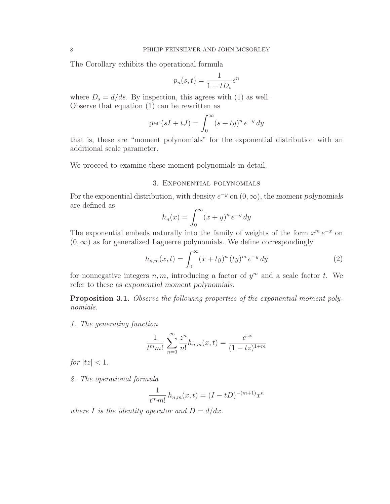The Corollary exhibits the operational formula

$$
p_n(s,t) = \frac{1}{1 - tD_s} s^n
$$

where  $D_s = d/ds$ . By inspection, this agrees with (1) as well. Observe that equation (1) can be rewritten as

$$
\operatorname{per}(sI+tJ) = \int_0^\infty (s+ty)^n e^{-y} dy
$$

that is, these are "moment polynomials" for the exponential distribution with an additional scale parameter.

We proceed to examine these moment polynomials in detail.

#### 3. Exponential polynomials

For the exponential distribution, with density  $e^{-y}$  on  $(0, \infty)$ , the moment polynomials are defined as

$$
h_n(x) = \int_0^\infty (x+y)^n e^{-y} dy
$$

The exponential embeds naturally into the family of weights of the form  $x^m e^{-x}$  on  $(0, \infty)$  as for generalized Laguerre polynomials. We define correspondingly

$$
h_{n,m}(x,t) = \int_0^\infty (x+ty)^n (ty)^m e^{-y} dy \tag{2}
$$

for nonnegative integers  $n, m$ , introducing a factor of  $y<sup>m</sup>$  and a scale factor t. We refer to these as exponential moment polynomials.

Proposition 3.1. *Observe the following properties of the exponential moment polynomials.*

*1. The generating function*

$$
\frac{1}{t^{m}m!} \sum_{n=0}^{\infty} \frac{z^{n}}{n!} h_{n,m}(x,t) = \frac{e^{zx}}{(1-tz)^{1+m}}
$$

*for*  $|tz| < 1$ *.* 

*2. The operational formula*

$$
\frac{1}{t^m m!} h_{n,m}(x,t) = (I - tD)^{-(m+1)} x^n
$$

*where I is the identity operator and*  $D = d/dx$ *.*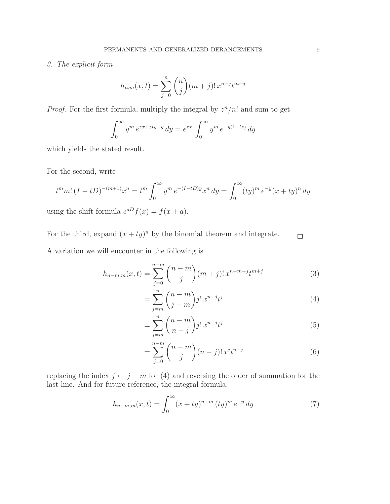#### *3. The explicit form*

$$
h_{n,m}(x,t) = \sum_{j=0}^{n} {n \choose j} (m+j)! x^{n-j} t^{m+j}
$$

*Proof.* For the first formula, multiply the integral by  $z^n/n!$  and sum to get

$$
\int_0^\infty y^m e^{zx+zty-y} dy = e^{zx} \int_0^\infty y^m e^{-y(1-tz)} dy
$$

which yields the stated result.

For the second, write

$$
t^{m}m! (I - tD)^{-(m+1)}x^{n} = t^{m} \int_{0}^{\infty} y^{m} e^{-(I - tD)y} x^{n} dy = \int_{0}^{\infty} (ty)^{m} e^{-y} (x + ty)^{n} dy
$$
  
using the shift formula  $e^{aD} f(x) = f(x + a)$ .

For the third, expand  $(x + ty)^n$  by the binomial theorem and integrate.  $\Box$ A variation we will encounter in the following is

$$
h_{n-m,m}(x,t) = \sum_{j=0}^{n-m} {n-m \choose j} (m+j)! x^{n-m-j} t^{m+j}
$$
 (3)

$$
=\sum_{j=m}^{n} \binom{n-m}{j-m} j! \, x^{n-j} t^j \tag{4}
$$

$$
=\sum_{j=m}^{n} {n-m \choose n-j} j! \, x^{n-j} t^j \tag{5}
$$

$$
= \sum_{j=0}^{n-m} \binom{n-m}{j} (n-j)! \, x^j t^{n-j} \tag{6}
$$

replacing the index  $j \leftarrow j - m$  for (4) and reversing the order of summation for the last line. And for future reference, the integral formula,

$$
h_{n-m,m}(x,t) = \int_0^\infty (x+ty)^{n-m} (ty)^m e^{-y} dy \tag{7}
$$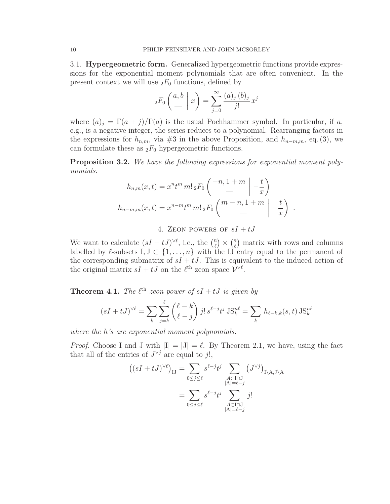3.1. Hypergeometric form. Generalized hypergeometric functions provide expressions for the exponential moment polynomials that are often convenient. In the present context we will use  ${}_2F_0$  functions, defined by

$$
{}_2F_0\left(\begin{array}{c|c} a,b & b \\ \hline & & \end{array}\right) = \sum_{j=0}^{\infty} \frac{(a)_j (b)_j}{j!} x^j
$$

where  $(a)_j = \Gamma(a+j)/\Gamma(a)$  is the usual Pochhammer symbol. In particular, if a, e.g., is a negative integer, the series reduces to a polynomial. Rearranging factors in the expressions for  $h_{n,m}$ , via #3 in the above Proposition, and  $h_{n-m,m}$ , eq. (3), we can formulate these as  $_2F_0$  hypergeometric functions.

Proposition 3.2. *We have the following expressions for exponential moment polynomials.*

$$
h_{n,m}(x,t) = x^n t^m m! \, {}_2F_0 \left( \begin{array}{c} -n, 1+m \\ - \end{array} \bigg| -\frac{t}{x} \right)
$$
  

$$
h_{n-m,m}(x,t) = x^{n-m} t^m m! \, {}_2F_0 \left( \begin{array}{c} m-n, 1+m \\ - \end{array} \bigg| -\frac{t}{x} \right) .
$$

4. ZEON POWERS OF  $sI + tJ$ 

We want to calculate  $(sI + tJ)^{\vee \ell}$ , i.e., the  $\binom{n}{\ell}$  $\binom{n}{\ell} \times \binom{n}{\ell}$  $\binom{n}{\ell}$  matrix with rows and columns labelled by  $\ell$ -subsets I,  $J \subset \{1, \ldots, n\}$  with the IJ entry equal to the permanent of the corresponding submatrix of  $sI + tJ$ . This is equivalent to the induced action of the original matrix  $sI + tJ$  on the  $\ell^{\text{th}}$  zeon space  $\mathcal{V}^{\vee \ell}$ .

**Theorem 4.1.** *The*  $\ell^{\text{th}}$  *zeon power of*  $sI + tJ$  *is given by* 

$$
(sI + tJ)^{\vee \ell} = \sum_{k} \sum_{j=k}^{\ell} {\ell - k \choose \ell - j} j! \, s^{\ell - j} t^j \, \text{JS}_k^{n\ell} = \sum_{k} h_{\ell - k, k}(s, t) \, \text{JS}_k^{n\ell}
$$

*where the* h*'s are exponential moment polynomials.*

*Proof.* Choose I and J with  $|I| = |J| = \ell$ . By Theorem 2.1, we have, using the fact that all of the entries of  $J^{\vee j}$  are equal to j!,

$$
((sI + tJ)^{\vee \ell})_{IJ} = \sum_{0 \le j \le \ell} s^{\ell - j} t^j \sum_{\substack{A \subset I \cap J \\ |A| = \ell - j}} (J^{\vee j})_{I \setminus A, J \setminus A}
$$

$$
= \sum_{0 \le j \le \ell} s^{\ell - j} t^j \sum_{\substack{A \subset I \cap J \\ |A| = \ell - j}} j!
$$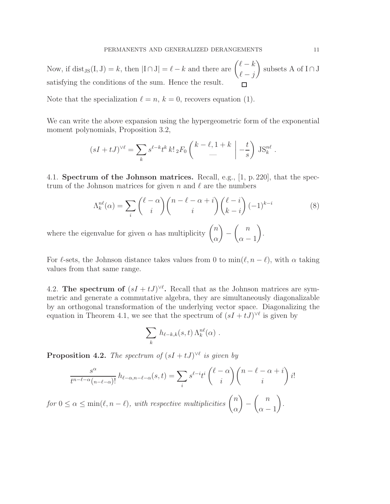Now, if dist<sub>JS</sub>(I, J) = k, then  $|I \cap J| = \ell - k$  and there are  $\begin{pmatrix} \ell - k \\ 0 \end{pmatrix}$ ) subsets A of  $I \cap J$  $\ell - j$ satisfying the conditions of the sum. Hence the result.  $\Box$ 

Note that the specialization  $\ell = n, k = 0$ , recovers equation (1).

We can write the above expansion using the hypergeometric form of the exponential moment polynomials, Proposition 3.2,

$$
(sI+tJ)^{\vee \ell}=\sum_{k} s^{\ell-k}t^k\,k!\, {}_2F_0\left(\!\!\!\begin{array}{c|c}k-\ell,1+k\\-\end{array}\;\right\vert -\frac{t}{s}\bigg)\, \text{JS}_k^{n\ell}
$$

4.1. Spectrum of the Johnson matrices. Recall, e.g., [1, p. 220], that the spectrum of the Johnson matrices for given n and  $\ell$  are the numbers

$$
\Lambda_k^{n\ell}(\alpha) = \sum_i \binom{\ell - \alpha}{i} \binom{n - \ell - \alpha + i}{i} \binom{\ell - i}{k - i} (-1)^{k - i} \tag{8}
$$

where the eigenvalue for given  $\alpha$  has multiplicity  $\binom{n}{n}$ α  $\Big)$  -  $\Big($  n  $\alpha - 1$  $\setminus$ .

For  $\ell$ -sets, the Johnson distance takes values from 0 to min $(\ell, n - \ell)$ , with  $\alpha$  taking values from that same range.

4.2. The spectrum of  $(sI + tJ)^{\vee\ell}$ . Recall that as the Johnson matrices are symmetric and generate a commutative algebra, they are simultaneously diagonalizable by an orthogonal transformation of the underlying vector space. Diagonalizing the equation in Theorem 4.1, we see that the spectrum of  $(sI + tJ)^{\vee \ell}$  is given by

$$
\sum_{k} h_{\ell-k,k}(s,t) \Lambda_k^{n\ell}(\alpha) .
$$

**Proposition 4.2.** *The spectrum of*  $(sI + tJ)^{\vee \ell}$  *is given by* 

$$
\frac{s^{\alpha}}{t^{n-\ell-\alpha}(n-\ell-\alpha)!}h_{\ell-\alpha,n-\ell-\alpha}(s,t)=\sum_{i}s^{\ell-i}t^{i}\binom{\ell-\alpha}{i}\binom{n-\ell-\alpha+i}{i}i!
$$

 $for 0 \leq \alpha \leq \min(\ell, n - \ell)$ , with respective multiplicities  $\binom{n}{k}$  $\alpha$  $\Big)$  -  $\Big($  n  $\alpha - 1$ *.*

.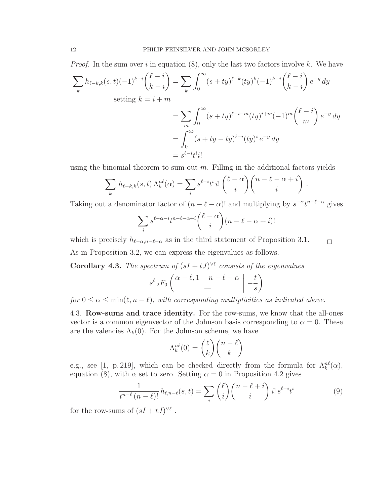*Proof.* In the sum over i in equation  $(8)$ , only the last two factors involve k. We have

$$
\sum_{k} h_{\ell-k,k}(s,t) (-1)^{k-i} { \ell-i \choose k-i} = \sum_{k} \int_{0}^{\infty} (s+ty)^{\ell-k} (ty)^{k} (-1)^{k-i} { \ell-i \choose k-i} e^{-y} dy
$$
  
setting  $k = i+m$   

$$
= \sum_{m} \int_{0}^{\infty} (s+ty)^{\ell-i-m} (ty)^{i+m} (-1)^{m} { \ell-i \choose m} e^{-y} dy
$$

$$
= \int_{0}^{\infty} (s+ty-ty)^{\ell-i} (ty)^{i} e^{-y} dy
$$

$$
= s^{\ell-i} t^{i} i!
$$

using the binomial theorem to sum out  $m$ . Filling in the additional factors yields

$$
\sum_{k} h_{\ell-k,k}(s,t) \Lambda_k^{n\ell}(\alpha) = \sum_{i} s^{\ell-i} t^i i! \binom{\ell-\alpha}{i} \binom{n-\ell-\alpha+i}{i}.
$$

Taking out a denominator factor of  $(n - \ell - \alpha)!$  and multiplying by  $s^{-\alpha}t^{n-\ell-\alpha}$  gives

$$
\sum_{i} s^{\ell - \alpha - i} t^{n - \ell - \alpha + i} \binom{\ell - \alpha}{i} (n - \ell - \alpha + i)!
$$

which is precisely  $h_{\ell-\alpha,n-\ell-\alpha}$  as in the third statement of Proposition 3.1.  $\Box$ As in Proposition 3.2, we can express the eigenvalues as follows.

**Corollary 4.3.** *The spectrum of*  $(sI + tJ)^{\vee\ell}$  *consists of the eigenvalues* 

$$
s^{\ell} \, {}_2F_0 \left( \frac{\alpha - \ell, 1 + n - \ell - \alpha}{-} \Big| - \frac{t}{s} \right)
$$

*for*  $0 \le \alpha \le \min(\ell, n - \ell)$ *, with corresponding multiplicities as indicated above.* 

4.3. Row-sums and trace identity. For the row-sums, we know that the all-ones vector is a common eigenvector of the Johnson basis corresponding to  $\alpha = 0$ . These are the valencies  $\Lambda_k(0)$ . For the Johnson scheme, we have

$$
\Lambda_k^{n\ell}(0) = \binom{\ell}{k} \binom{n-\ell}{k}
$$

e.g., see [1, p. 219], which can be checked directly from the formula for  $\Lambda_k^{n\ell}(\alpha)$ , equation (8), with  $\alpha$  set to zero. Setting  $\alpha = 0$  in Proposition 4.2 gives

$$
\frac{1}{t^{n-\ell}(n-\ell)!}h_{\ell,n-\ell}(s,t) = \sum_{i} \binom{\ell}{i} \binom{n-\ell+i}{i} i! \, s^{\ell-i}t^i \tag{9}
$$

for the row-sums of  $(sI + tJ)^{\vee \ell}$ .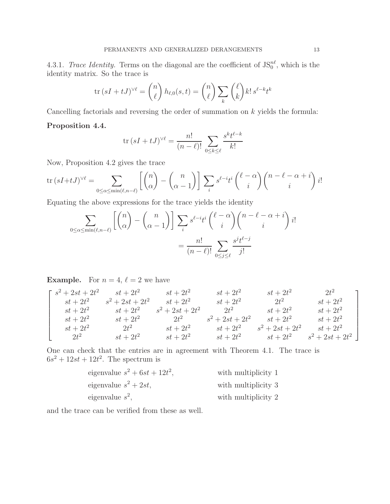4.3.1. *Trace Identity*. Terms on the diagonal are the coefficient of  $JS_0^{n\ell}$ , which is the identity matrix. So the trace is

$$
\operatorname{tr}\left(sI+tJ\right)^{\vee\ell} = \binom{n}{\ell} h_{\ell,0}(s,t) = \binom{n}{\ell} \sum_{k} \binom{\ell}{k} k! \, s^{\ell-k} t^k
$$

Cancelling factorials and reversing the order of summation on  $k$  yields the formula:

#### Proposition 4.4.

$$
\operatorname{tr}\left(sI+tJ\right)^{\vee\ell} = \frac{n!}{(n-\ell)!} \sum_{0 \le k \le \ell} \frac{s^k t^{\ell-k}}{k!}
$$

Now, Proposition 4.2 gives the trace

$$
\operatorname{tr}(sI+tJ)^{\vee\ell} = \sum_{0 \le \alpha \le \min(\ell,n-\ell)} \left[ \binom{n}{\alpha} - \binom{n}{\alpha-1} \right] \sum_{i} s^{\ell-i} t^{i} \binom{\ell-\alpha}{i} \binom{n-\ell-\alpha+i}{i} i!
$$

Equating the above expressions for the trace yields the identity

$$
\sum_{0 \le \alpha \le \min(\ell, n-\ell)} \left[ \binom{n}{\alpha} - \binom{n}{\alpha - 1} \right] \sum_{i} s^{\ell - i} t^{i} \binom{\ell - \alpha}{i} \binom{n - \ell - \alpha + i}{i} i!
$$

$$
= \frac{n!}{(n - \ell)!} \sum_{0 \le j \le \ell} \frac{s^{j} t^{\ell - j}}{j!}
$$

**Example.** For  $n = 4$ ,  $\ell = 2$  we have

$$
\begin{bmatrix}\ns^2 + 2st + 2t^2 & st + 2t^2 & st + 2t^2 & st + 2t^2 & st + 2t^2 & 2t^2 & 2t^2 \\
st + 2t^2 & st + 2t^2 & st + 2t^2 & 2t^2 & st + 2t^2 & st + 2t^2 \\
st + 2t^2 & st + 2t^2 & 2t^2 & s^2 + 2st + 2t^2 & st + 2t^2 & st + 2t^2 \\
st + 2t^2 & 2t^2 & st + 2t^2 & st + 2t^2 & st + 2t^2 & st + 2t^2 \\
2t^2 & 3t + 2t^2 & st + 2t^2 & st + 2t^2 & s^2 + 2st + 2t^2 & st + 2t^2 \\
2t^2 & st + 2t^2 & st + 2t^2 & st + 2t^2 & st + 2t^2 & st + 2t^2\n\end{bmatrix}
$$

One can check that the entries are in agreement with Theorem 4.1. The trace is  $6s^2 + 12st + 12t^2$ . The spectrum is

| eigenvalue $s^2 + 6st + 12t^2$ , | with multiplicity 1 |
|----------------------------------|---------------------|
| eigenvalue $s^2 + 2st$ ,         | with multiplicity 3 |
| eigenvalue $s^2$ ,               | with multiplicity 2 |

and the trace can be verified from these as well.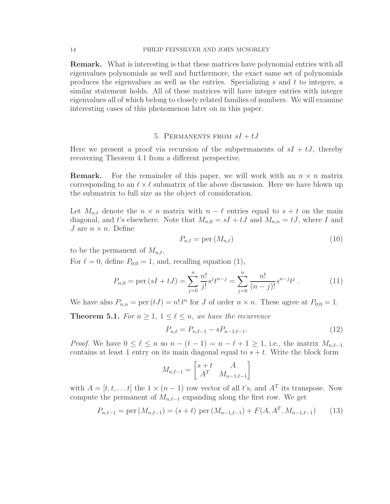Remark. What is interesting is that these matrices have polynomial entries with all eigenvalues polynomials as well and furthermore, the exact same set of polynomials produces the eigenvalues as well as the entries. Specializing s and t to integers, a similar statement holds. All of these matrices will have integer entries with integer eigenvalues all of which belong to closely related families of numbers. We will examine interesting cases of this phenomenon later on in this paper.

#### 5. PERMANENTS FROM  $sI + tJ$

Here we present a proof via recursion of the subpermanents of  $sI + tJ$ , thereby recovering Theorem 4.1 from a different perspective.

**Remark.** For the remainder of this paper, we will work with an  $n \times n$  matrix corresponding to an  $\ell \times \ell$  submatrix of the above discussion. Here we have blown up the submatrix to full size as the object of consideration.

Let  $M_{n,\ell}$  denote the  $n \times n$  matrix with  $n - \ell$  entries equal to  $s + t$  on the main diagonal, and t's elsewhere. Note that  $M_{n,0} = sI + tJ$  and  $M_{n,n} = tJ$ , where I and J are  $n \times n$ . Define

$$
P_{n,\ell} = \text{per}(M_{n,\ell})\tag{10}
$$

to be the permanent of  $M_{n,\ell}$ .

For  $\ell = 0$ , define  $P_{0,0} = 1$ , and, recalling equation (1),

$$
P_{n,0} = \text{per}(sI + tJ) = \sum_{j=0}^{n} \frac{n!}{j!} s^j t^{n-j} = \sum_{j=0}^{n} \frac{n!}{(n-j)!} s^{n-j} t^j.
$$
 (11)

We have also  $P_{n,n} = \text{per}(tJ) = n! t^n$  for J of order  $n \times n$ . These agree at  $P_{0,0} = 1$ .

**Theorem 5.1.** *For*  $n \geq 1, 1 \leq \ell \leq n$ *, we have the recurrence* 

$$
P_{n,\ell} = P_{n,\ell-1} - sP_{n-1,\ell-1}.\tag{12}
$$

*Proof.* We have  $0 \leq \ell \leq n$  so  $n - (\ell - 1) = n - \ell + 1 \geq 1$ , i.e., the matrix  $M_{n,\ell-1}$ contains at least 1 entry on its main diagonal equal to  $s + t$ . Write the block form

$$
M_{n,\ell-1} = \begin{bmatrix} s+t & A \\ A^T & M_{n-1,\ell-1} \end{bmatrix}
$$

with  $A = [t, t, \dots t]$  the  $1 \times (n-1)$  row vector of all t's, and  $A<sup>T</sup>$  its transpose. Now compute the permanent of  $M_{n,\ell-1}$  expanding along the first row. We get

$$
P_{n,\ell-1} = \text{per}(M_{n,\ell-1}) = (s+t) \text{ per}(M_{n-1,\ell-1}) + F(A, A^T, M_{n-1,\ell-1}) \tag{13}
$$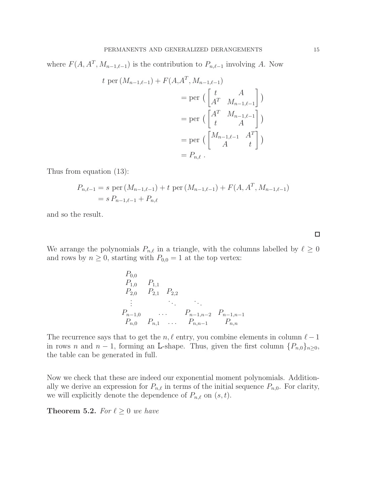where  $F(A, A^T, M_{n-1,\ell-1})$  is the contribution to  $P_{n,\ell-1}$  involving A. Now

$$
t \operatorname{per}(M_{n-1,\ell-1}) + F(A, A^T, M_{n-1,\ell-1})
$$
  
= 
$$
\operatorname{per} \begin{pmatrix} t & A \\ A^T & M_{n-1,\ell-1} \end{pmatrix}
$$
  
= 
$$
\operatorname{per} \begin{pmatrix} A^T & M_{n-1,\ell-1} \\ t & A \end{pmatrix}
$$
  
= 
$$
\operatorname{per} \begin{pmatrix} M_{n-1,\ell-1} & A^T \\ A & t \end{pmatrix}
$$
  
= 
$$
P_{n,\ell}.
$$

Thus from equation (13):

$$
P_{n,\ell-1} = s \text{ per } (M_{n-1,\ell-1}) + t \text{ per } (M_{n-1,\ell-1}) + F(A, A^T, M_{n-1,\ell-1})
$$
  
=  $s P_{n-1,\ell-1} + P_{n,\ell}$ 

and so the result.

We arrange the polynomials  $P_{n,\ell}$  in a triangle, with the columns labelled by  $\ell \geq 0$ and rows by  $n \geq 0$ , starting with  $P_{0,0} = 1$  at the top vertex:

$$
P_{0,0} P_{1,1} P_{2,0} P_{1,1}
$$
  
\n
$$
P_{2,0} P_{2,1} P_{2,2}
$$
  
\n
$$
\vdots \t P_{n-1,0} P_{n,1} P_{n,1} P_{n,n-1} P_{n,n}
$$

The recurrence says that to get the  $n, \ell$  entry, you combine elements in column  $\ell - 1$ in rows n and  $n-1$ , forming an L-shape. Thus, given the first column  $\{P_{n,0}\}_{n\geq 0}$ , the table can be generated in full.

Now we check that these are indeed our exponential moment polynomials. Additionally we derive an expression for  $P_{n,\ell}$  in terms of the initial sequence  $P_{n,0}$ . For clarity, we will explicitly denote the dependence of  $P_{n,\ell}$  on  $(s, t)$ .

**Theorem 5.2.** *For*  $\ell \geq 0$  *we have* 

 $\Box$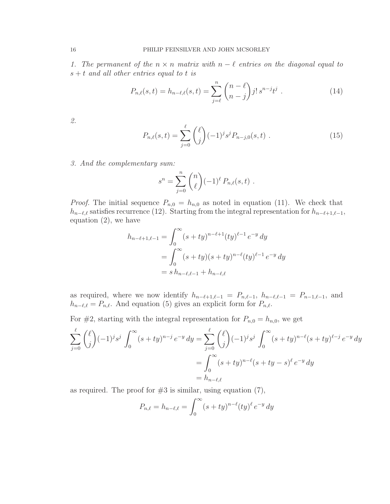*1. The permanent of the*  $n \times n$  *matrix with*  $n - \ell$  *entries on the diagonal equal to* s + t *and all other entries equal to* t *is*

$$
P_{n,\ell}(s,t) = h_{n-\ell,\ell}(s,t) = \sum_{j=\ell}^{n} {n-\ell \choose n-j} j! \, s^{n-j} t^j \tag{14}
$$

*2.*

$$
P_{n,\ell}(s,t) = \sum_{j=0}^{\ell} {\ell \choose j} (-1)^{j} s^{j} P_{n-j,0}(s,t) . \qquad (15)
$$

*3. And the complementary sum:*

$$
s^{n} = \sum_{j=0}^{n} {n \choose \ell} (-1)^{\ell} P_{n,\ell}(s,t) .
$$

*Proof.* The initial sequence  $P_{n,0} = h_{n,0}$  as noted in equation (11). We check that  $h_{n-\ell,\ell}$  satisfies recurrence (12). Starting from the integral representation for  $h_{n-\ell+1,\ell-1}$ , equation (2), we have

$$
h_{n-\ell+1,\ell-1} = \int_0^\infty (s+ty)^{n-\ell+1} (ty)^{\ell-1} e^{-y} dy
$$
  
= 
$$
\int_0^\infty (s+ty)(s+ty)^{n-\ell} (ty)^{\ell-1} e^{-y} dy
$$
  
= 
$$
s h_{n-\ell,\ell-1} + h_{n-\ell,\ell}
$$

as required, where we now identify  $h_{n-\ell+1,\ell-1} = P_{n,\ell-1}, h_{n-\ell,\ell-1} = P_{n-1,\ell-1}$ , and  $h_{n-\ell,\ell} = P_{n,\ell}$ . And equation (5) gives an explicit form for  $P_{n,\ell}$ .

For #2, starting with the integral representation for  $P_{n,0} = h_{n,0}$ , we get

$$
\sum_{j=0}^{\ell} {\ell \choose j} (-1)^{j} s^{j} \int_{0}^{\infty} (s+ty)^{n-j} e^{-y} dy = \sum_{j=0}^{\ell} {\ell \choose j} (-1)^{j} s^{j} \int_{0}^{\infty} (s+ty)^{n-\ell} (s+ty)^{\ell-j} e^{-y} dy
$$
  
= 
$$
\int_{0}^{\infty} (s+ty)^{n-\ell} (s+ty-s)^{\ell} e^{-y} dy
$$
  
= 
$$
h_{n-\ell,\ell}
$$

as required. The proof for  $#3$  is similar, using equation  $(7)$ ,

$$
P_{n,\ell} = h_{n-\ell,\ell} = \int_0^\infty (s + ty)^{n-\ell} (ty)^\ell e^{-y} dy
$$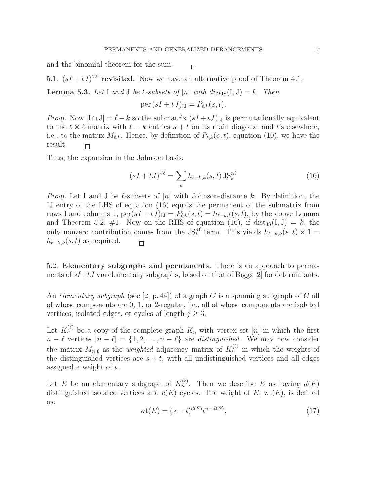$\Box$ 

and the binomial theorem for the sum.

5.1.  $(sI + tJ)^{\vee\ell}$  revisited. Now we have an alternative proof of Theorem 4.1.

**Lemma 5.3.** Let I and J be  $\ell$ -subsets of  $[n]$  with dist<sub>IS</sub>(I, J) = k. Then

per  $(sI + tJ)_{IJ} = P_{\ell,k}(s,t)$ .

*Proof.* Now  $|I \cap J| = \ell - k$  so the submatrix  $(sI + tJ)_{IJ}$  is permutationally equivalent to the  $\ell \times \ell$  matrix with  $\ell - k$  entries  $s + t$  on its main diagonal and t's elsewhere, i.e., to the matrix  $M_{\ell,k}$ . Hence, by definition of  $P_{\ell,k}(s,t)$ , equation (10), we have the result.  $\Box$ 

Thus, the expansion in the Johnson basis:

$$
(sI + tJ)^{\vee\ell} = \sum_{k} h_{\ell-k,k}(s,t) \operatorname{JS}_{k}^{\text{nl}} \tag{16}
$$

*Proof.* Let I and J be  $\ell$ -subsets of  $[n]$  with Johnson-distance k. By definition, the IJ entry of the LHS of equation (16) equals the permanent of the submatrix from rows I and columns J,  $\text{per}(sI + tJ)_{IJ} = P_{\ell,k}(s,t) = h_{\ell-k,k}(s,t)$ , by the above Lemma and Theorem 5.2, #1. Now on the RHS of equation (16), if  $dist_{JS}(I, J) = k$ , the only nonzero contribution comes from the JS<sup>nℓ</sup> term. This yields  $h_{\ell-k,k}(s,t) \times 1 =$  $h_{\ell-k,k}(s,t)$  as required.  $\Box$ 

5.2. Elementary subgraphs and permanents. There is an approach to permanents of  $sI+tJ$  via elementary subgraphs, based on that of Biggs [2] for determinants.

An *elementary subgraph* (see [2, p. 44]) of a graph G is a spanning subgraph of G all of whose components are 0, 1, or 2-regular, i.e., all of whose components are isolated vertices, isolated edges, or cycles of length  $j \geq 3$ .

Let  $K_n^{(\ell)}$  be a copy of the complete graph  $K_n$  with vertex set  $[n]$  in which the first  $n - \ell$  vertices  $[n - \ell] = \{1, 2, \ldots, n - \ell\}$  are *distinguished*. We may now consider the matrix  $M_{n,\ell}$  as the *weighted* adjacency matrix of  $K_n^{(\ell)}$  in which the weights of the distinguished vertices are  $s + t$ , with all undistinguished vertices and all edges assigned a weight of t.

Let E be an elementary subgraph of  $K_n^{(\ell)}$ . Then we describe E as having  $d(E)$ distinguished isolated vertices and  $c(E)$  cycles. The weight of E, wt $(E)$ , is defined as:

$$
wt(E) = (s+t)^{d(E)}t^{n-d(E)},
$$
\n(17)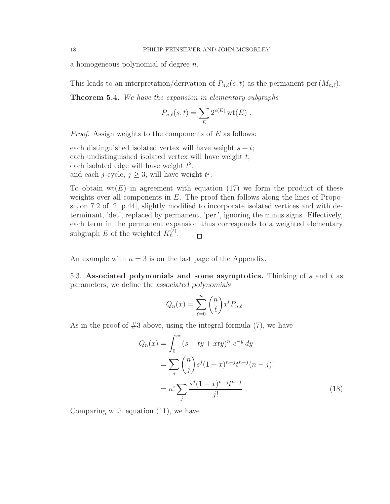a homogeneous polynomial of degree n.

This leads to an interpretation/derivation of  $P_{n,\ell}(s,t)$  as the permanent per  $(M_{n,\ell})$ .

Theorem 5.4. *We have the expansion in elementary subgraphs*

$$
P_{n,\ell}(s,t) = \sum_{E} 2^{c(E)} \operatorname{wt}(E) .
$$

*Proof.* Assign weights to the components of E as follows:

each distinguished isolated vertex will have weight  $s + t$ ; each undistinguished isolated vertex will have weight t; each isolated edge will have weight  $t^2$ ; and each *j*-cycle,  $j \geq 3$ , will have weight  $t^j$ .

To obtain  $wt(E)$  in agreement with equation (17) we form the product of these weights over all components in  $E$ . The proof then follows along the lines of Proposition 7.2 of [2, p.44], slightly modified to incorporate isolated vertices and with determinant, 'det', replaced by permanent, 'per ', ignoring the minus signs. Effectively, each term in the permanent expansion thus corresponds to a weighted elementary subgraph E of the weighted  $K_n^{(\ell)}$ .  $\Box$ 

An example with  $n = 3$  is on the last page of the Appendix.

5.3. Associated polynomials and some asymptotics. Thinking of s and t as parameters, we define the associated polynomials

$$
Q_n(x) = \sum_{\ell=0}^n \binom{n}{\ell} x^{\ell} P_{n,\ell}.
$$

As in the proof of  $#3$  above, using the integral formula  $(7)$ , we have

$$
Q_n(x) = \int_0^\infty (s + ty + xty)^n e^{-y} dy
$$
  
= 
$$
\sum_j {n \choose j} s^j (1+x)^{n-j} t^{n-j} (n-j)!
$$
  
= 
$$
n! \sum_j \frac{s^j (1+x)^{n-j} t^{n-j}}{j!}.
$$
 (18)

Comparing with equation (11), we have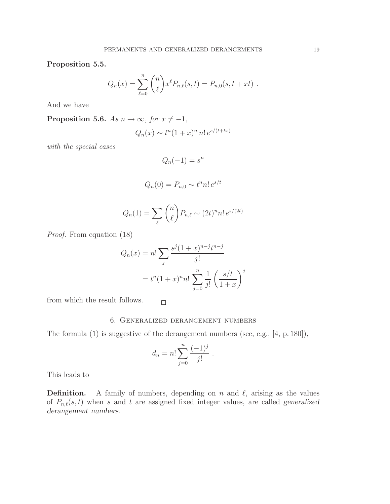Proposition 5.5.

$$
Q_n(x) = \sum_{\ell=0}^n \binom{n}{\ell} x^{\ell} P_{n,\ell}(s,t) = P_{n,0}(s,t+xt) .
$$

And we have

Proposition 5.6. *As*  $n \to \infty$ *, for*  $x \neq -1$ *,* 

$$
Q_n(x) \sim t^n (1+x)^n n! e^{s/(t+tx)}
$$

*with the special cases*

$$
Q_n(-1) = s^n
$$

$$
Q_n(0) = P_{n,0} \sim t^n n! e^{s/t}
$$

$$
Q_n(1) = \sum_{\ell} \binom{n}{\ell} P_{n,\ell} \sim (2t)^n n! e^{s/(2t)}
$$

*Proof.* From equation (18)

$$
Q_n(x) = n! \sum_j \frac{s^j (1+x)^{n-j} t^{n-j}}{j!}
$$

$$
= t^n (1+x)^n n! \sum_{j=0}^n \frac{1}{j!} \left(\frac{s/t}{1+x}\right)^j
$$

from which the result follows.

#### 6. Generalized derangement numbers

The formula (1) is suggestive of the derangement numbers (see, e.g., [4, p. 180]),

 $\Box$ 

$$
d_n = n! \sum_{j=0}^n \frac{(-1)^j}{j!} .
$$

This leads to

**Definition.** A family of numbers, depending on n and  $\ell$ , arising as the values of  $P_{n,\ell}(s,t)$  when s and t are assigned fixed integer values, are called generalized derangement numbers.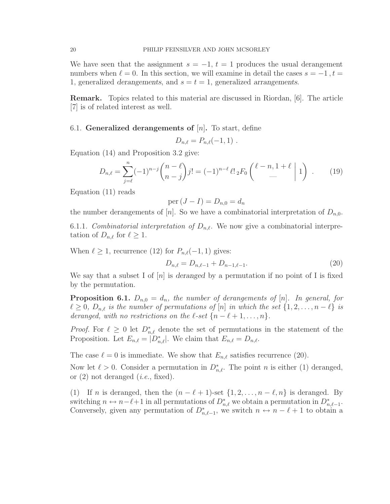We have seen that the assignment  $s = -1$ ,  $t = 1$  produces the usual derangement numbers when  $\ell = 0$ . In this section, we will examine in detail the cases  $s = -1$ ,  $t =$ 1, generalized derangements, and  $s = t = 1$ , generalized arrangements.

Remark. Topics related to this material are discussed in Riordan, [6]. The article [7] is of related interest as well.

#### 6.1. Generalized derangements of  $[n]$ . To start, define

$$
D_{n,\ell} = P_{n,\ell}(-1,1) \; .
$$

Equation (14) and Proposition 3.2 give:

$$
D_{n,\ell} = \sum_{j=\ell}^{n} (-1)^{n-j} \binom{n-\ell}{n-j} j! = (-1)^{n-\ell} \ell! \, {}_2F_0 \left( \begin{array}{c} \ell-n, 1+\ell \\ - \end{array} \middle| 1 \right) \ . \tag{19}
$$

Equation (11) reads

$$
per (J - I) = D_{n,0} = d_n
$$

the number derangements of [n]. So we have a combinatorial interpretation of  $D_{n,0}$ .

6.1.1. *Combinatorial interpretation of*  $D_{n,\ell}$ . We now give a combinatorial interpretation of  $D_{n,\ell}$  for  $\ell \geq 1$ .

When  $\ell \geq 1$ , recurrence (12) for  $P_{n,\ell}(-1,1)$  gives:

$$
D_{n,\ell} = D_{n,\ell-1} + D_{n-1,\ell-1}.\tag{20}
$$

We say that a subset I of  $[n]$  is deranged by a permutation if no point of I is fixed by the permutation.

**Proposition 6.1.**  $D_{n,0} = d_n$ , the number of derangements of [n]. In general, for  $\ell \geq 0$ ,  $D_{n,\ell}$  *is the number of permutations of* [n] *in which the set*  $\{1, 2, \ldots, n - \ell\}$  *is deranged, with no restrictions on the*  $\ell$ -set  $\{n - \ell + 1, \ldots, n\}$ *.* 

*Proof.* For  $\ell \geq 0$  let  $D_{n,\ell}^*$  denote the set of permutations in the statement of the Proposition. Let  $E_{n,\ell} = |D_{n,\ell}^*|$ . We claim that  $E_{n,\ell} = D_{n,\ell}$ .

The case  $\ell = 0$  is immediate. We show that  $E_{n,\ell}$  satisfies recurrence (20).

Now let  $\ell > 0$ . Consider a permutation in  $D_{n,\ell}^*$ . The point n is either (1) deranged, or (2) not deranged (*i.e.*, fixed).

(1) If n is deranged, then the  $(n - \ell + 1)$ -set  $\{1, 2, ..., n - \ell, n\}$  is deranged. By switching  $n \leftrightarrow n-\ell+1$  in all permutations of  $D_{n,\ell}^*$  we obtain a permutation in  $D_{n,\ell-1}^*$ . Conversely, given any permutation of  $D_{n,\ell-1}^*$ , we switch  $n \leftrightarrow n-\ell+1$  to obtain a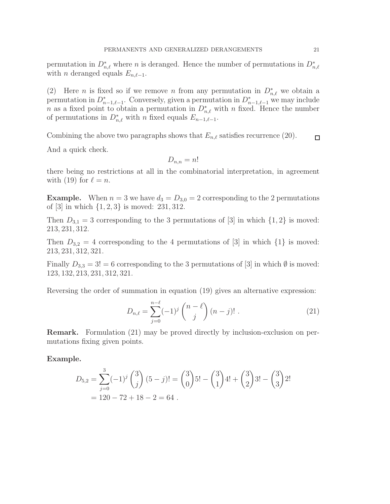permutation in  $D_{n,\ell}^*$  where n is deranged. Hence the number of permutations in  $D_{n,\ell}^*$ with *n* deranged equals  $E_{n,\ell-1}$ .

(2) Here *n* is fixed so if we remove *n* from any permutation in  $D_{n,\ell}^*$  we obtain a permutation in  $D_{n-1,\ell-1}^*$ . Conversely, given a permutation in  $D_{n-1,\ell-1}^*$  we may include n as a fixed point to obtain a permutation in  $D_{n,\ell}^*$  with n fixed. Hence the number of permutations in  $D_{n,\ell}^*$  with n fixed equals  $E_{n-1,\ell-1}$ .

Combining the above two paragraphs shows that  $E_{n,\ell}$  satisfies recurrence (20).  $\Box$ 

And a quick check.

$$
D_{n,n}=n!
$$

there being no restrictions at all in the combinatorial interpretation, in agreement with (19) for  $\ell = n$ .

**Example.** When  $n = 3$  we have  $d_3 = D_{3,0} = 2$  corresponding to the 2 permutations of  $[3]$  in which  $\{1, 2, 3\}$  is moved: 231, 312.

Then  $D_{3,1} = 3$  corresponding to the 3 permutations of [3] in which  $\{1,2\}$  is moved: 213, 231, 312.

Then  $D_{3,2} = 4$  corresponding to the 4 permutations of [3] in which  $\{1\}$  is moved: 213, 231, 312, 321.

Finally  $D_{3,3} = 3! = 6$  corresponding to the 3 permutations of [3] in which  $\emptyset$  is moved: 123, 132, 213, 231, 312, 321.

Reversing the order of summation in equation (19) gives an alternative expression:

$$
D_{n,\ell} = \sum_{j=0}^{n-\ell} (-1)^j \binom{n-\ell}{j} (n-j)! . \tag{21}
$$

Remark. Formulation (21) may be proved directly by inclusion-exclusion on permutations fixing given points.

Example.

$$
D_{5,2} = \sum_{j=0}^{3} (-1)^j {3 \choose j} (5-j)! = {3 \choose 0} 5! - {3 \choose 1} 4! + {3 \choose 2} 3! - {3 \choose 3} 2!
$$
  
= 120 - 72 + 18 - 2 = 64.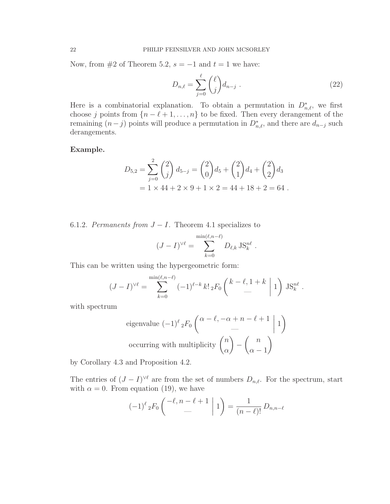Now, from  $#2$  of Theorem 5.2,  $s = -1$  and  $t = 1$  we have:

$$
D_{n,\ell} = \sum_{j=0}^{\ell} {\ell \choose j} d_{n-j} . \tag{22}
$$

Here is a combinatorial explanation. To obtain a permutation in  $D_{n,\ell}^*$ , we first choose j points from  $\{n-\ell+1,\ldots,n\}$  to be fixed. Then every derangement of the remaining  $(n-j)$  points will produce a permutation in  $D_{n,\ell}^*$ , and there are  $d_{n-j}$  such derangements.

Example.

$$
D_{5,2} = \sum_{j=0}^{2} {2 \choose j} d_{5-j} = {2 \choose 0} d_5 + {2 \choose 1} d_4 + {2 \choose 2} d_3
$$
  
= 1 × 44 + 2 × 9 + 1 × 2 = 44 + 18 + 2 = 64.

6.1.2. *Permanents from*  $J - I$ . Theorem 4.1 specializes to

$$
(J - I)^{\vee \ell} = \sum_{k=0}^{\min(\ell, n-\ell)} D_{\ell, k} \operatorname{JS}_{k}^{n\ell}.
$$

This can be written using the hypergeometric form:

$$
(J-I)^{\vee \ell} = \sum_{k=0}^{\min(\ell, n-\ell)} (-1)^{\ell-k} k! \, {}_{2}F_{0}\left(\begin{array}{c}k-\ell, 1+k\\-\end{array}\bigg|1\right) \, \text{JS}_{k}^{n\ell}.
$$

with spectrum

eigenvalue 
$$
(-1)^{\ell} {}_{2}F_{0} \begin{pmatrix} \alpha - \ell, -\alpha + n - \ell + 1 \ - \\ - \end{pmatrix} 1
$$
  
occurring with multiplicity  $\binom{n}{\alpha} - \binom{n}{\alpha - 1}$ 

by Corollary 4.3 and Proposition 4.2.

The entries of  $(J - I)^{\vee \ell}$  are from the set of numbers  $D_{n,\ell}$ . For the spectrum, start with  $\alpha = 0$ . From equation (19), we have

$$
(-1)^{\ell} {}_{2}F_{0}\left(\begin{array}{c} -\ell, n-\ell+1 \\ - \end{array} \bigg| 1\right) = \frac{1}{(n-\ell)!} D_{n,n-\ell}
$$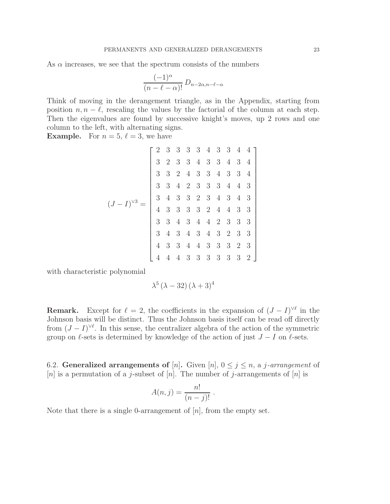As  $\alpha$  increases, we see that the spectrum consists of the numbers

$$
\frac{(-1)^{\alpha}}{(n-\ell-\alpha)!} D_{n-2\alpha,n-\ell-\alpha}
$$

Think of moving in the derangement triangle, as in the Appendix, starting from position  $n, n - \ell$ , rescaling the values by the factorial of the column at each step. Then the eigenvalues are found by successive knight's moves, up 2 rows and one column to the left, with alternating signs.

**Example.** For  $n = 5, \ell = 3$ , we have

$$
(J-I)^{3} = \begin{bmatrix} 2 & 3 & 3 & 3 & 3 & 4 & 3 & 3 & 4 & 4 \\ 3 & 2 & 3 & 3 & 4 & 3 & 3 & 4 & 3 & 4 \\ 3 & 3 & 2 & 4 & 3 & 3 & 4 & 3 & 3 & 4 \\ 3 & 4 & 2 & 3 & 3 & 3 & 4 & 4 & 3 & 3 \\ 4 & 3 & 3 & 3 & 2 & 3 & 4 & 3 & 4 & 3 & 3 \\ 3 & 4 & 3 & 4 & 4 & 2 & 3 & 3 & 3 & 3 \\ 3 & 4 & 3 & 4 & 4 & 2 & 3 & 3 & 3 & 3 \\ 3 & 4 & 3 & 4 & 3 & 4 & 3 & 2 & 3 & 3 \\ 4 & 3 & 3 & 4 & 4 & 3 & 3 & 3 & 3 & 2 & 3 \\ 4 & 4 & 4 & 3 & 3 & 3 & 3 & 3 & 3 & 3 & 2 \end{bmatrix}
$$

with characteristic polynomial

$$
\lambda^5\left(\lambda-32\right)\left(\lambda+3\right)^4
$$

**Remark.** Except for  $\ell = 2$ , the coefficients in the expansion of  $(J - I)^{\vee \ell}$  in the Johnson basis will be distinct. Thus the Johnson basis itself can be read off directly from  $(J - I)^{\vee \ell}$ . In this sense, the centralizer algebra of the action of the symmetric group on  $\ell$ -sets is determined by knowledge of the action of just  $J - I$  on  $\ell$ -sets.

6.2. **Generalized arrangements of** [n]. Given [n],  $0 \leq j \leq n$ , a *j*-arrangement of [n] is a permutation of a j-subset of [n]. The number of j-arrangements of [n] is

$$
A(n,j) = \frac{n!}{(n-j)!} .
$$

Note that there is a single 0-arrangement of  $[n]$ , from the empty set.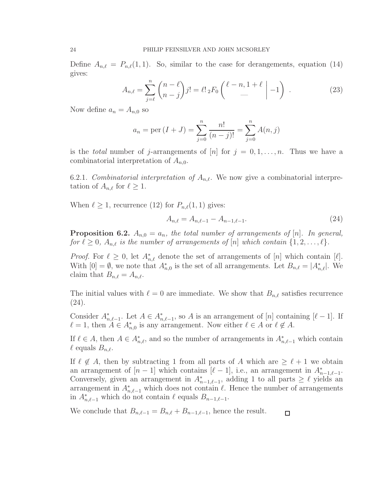Define  $A_{n,\ell} = P_{n,\ell}(1,1)$ . So, similar to the case for derangements, equation (14) gives:

$$
A_{n,\ell} = \sum_{j=\ell}^{n} {n-\ell \choose n-j} j! = \ell! \, {}_2F_0 \left( \begin{array}{c} \ell-n, 1+\ell \\ - \end{array} \bigg| -1 \right) \ . \tag{23}
$$

Now define  $a_n = A_{n,0}$  so

$$
a_n = \text{per}(I + J) = \sum_{j=0}^n \frac{n!}{(n-j)!} = \sum_{j=0}^n A(n, j)
$$

is the *total* number of j-arrangements of  $[n]$  for  $j = 0, 1, \ldots, n$ . Thus we have a combinatorial interpretation of  $A_{n,0}$ .

6.2.1. *Combinatorial interpretation of*  $A_{n,\ell}$ . We now give a combinatorial interpretation of  $A_{n,\ell}$  for  $\ell \geq 1$ .

When  $\ell \geq 1$ , recurrence (12) for  $P_{n,\ell}(1,1)$  gives:

$$
A_{n,\ell} = A_{n,\ell-1} - A_{n-1,\ell-1}.\tag{24}
$$

**Proposition 6.2.**  $A_{n,0} = a_n$ , the total number of arrangements of  $[n]$ . In general, *for*  $\ell \geq 0$ ,  $A_{n,\ell}$  *is the number of arrangements of* [n] *which contain*  $\{1, 2, \ldots, \ell\}$ *.* 

*Proof.* For  $\ell \geq 0$ , let  $A_{n,\ell}^*$  denote the set of arrangements of [n] which contain [ $\ell$ ]. With  $[0] = \emptyset$ , we note that  $A_{n,0}^*$  is the set of all arrangements. Let  $B_{n,\ell} = |A_{n,\ell}^*|$ . We claim that  $B_{n,\ell} = A_{n,\ell}$ .

The initial values with  $\ell = 0$  are immediate. We show that  $B_{n,\ell}$  satisfies recurrence (24).

Consider  $A_{n,\ell-1}^*$ . Let  $A \in A_{n,\ell-1}^*$ , so A is an arrangement of [n] containing [ $\ell-1$ ]. If  $\ell = 1$ , then  $A \in A_{n,0}^*$  is any arrangement. Now either  $\ell \in A$  or  $\ell \notin A$ .

If  $\ell \in A$ , then  $A \in A_{n,\ell}^*$ , and so the number of arrangements in  $A_{n,\ell-1}^*$  which contain  $\ell$  equals  $B_{n,\ell}$ .

If  $\ell \notin A$ , then by subtracting 1 from all parts of A which are  $\geq \ell + 1$  we obtain an arrangement of  $[n-1]$  which contains  $[\ell-1]$ , i.e., an arrangement in  $A_{n-1,\ell-1}^*$ . Conversely, given an arrangement in  $A_{n-1,\ell-1}^*$ , adding 1 to all parts  $\geq \ell$  yields an arrangement in  $A_{n,\ell-1}^*$  which does not contain  $\ell$ . Hence the number of arrangements in  $A_{n,\ell-1}^*$  which do not contain  $\ell$  equals  $B_{n-1,\ell-1}$ .

We conclude that  $B_{n,\ell-1} = B_{n,\ell} + B_{n-1,\ell-1}$ , hence the result.  $\Box$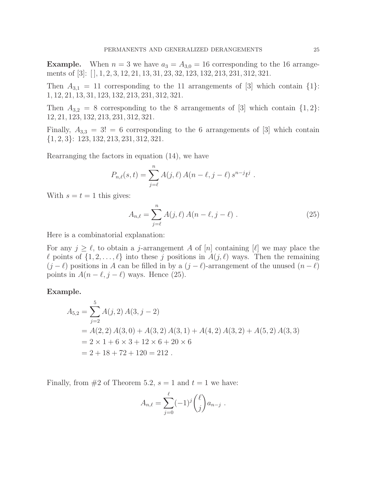**Example.** When  $n = 3$  we have  $a_3 = A_{3,0} = 16$  corresponding to the 16 arrangements of [3]: [ ], 1, 2, 3, 12, 21, 13, 31, 23, 32, 123, 132, 213, 231, 312, 321.

Then  $A_{3,1} = 11$  corresponding to the 11 arrangements of [3] which contain  $\{1\}$ : 1, 12, 21, 13, 31, 123, 132, 213, 231, 312, 321.

Then  $A_{3,2} = 8$  corresponding to the 8 arrangements of [3] which contain  $\{1,2\}$ : 12, 21, 123, 132, 213, 231, 312, 321.

Finally,  $A_{3,3} = 3! = 6$  corresponding to the 6 arrangements of [3] which contain {1, 2, 3}: 123, 132, 213, 231, 312, 321.

Rearranging the factors in equation (14), we have

$$
P_{n,\ell}(s,t) = \sum_{j=\ell}^{n} A(j,\ell) A(n-\ell, j-\ell) s^{n-j} t^{j}.
$$

With  $s = t = 1$  this gives:

$$
A_{n,\ell} = \sum_{j=\ell}^{n} A(j,\ell) A(n-\ell, j-\ell) . \tag{25}
$$

Here is a combinatorial explanation:

For any  $j \geq \ell$ , to obtain a j-arrangement A of [n] containing [ $\ell$ ] we may place the  $\ell$  points of  $\{1, 2, \ldots, \ell\}$  into these j positions in  $A(j, \ell)$  ways. Then the remaining  $(j - \ell)$  positions in A can be filled in by a  $(j - \ell)$ -arrangement of the unused  $(n - \ell)$ points in  $A(n - \ell, j - \ell)$  ways. Hence (25).

#### Example.

$$
A_{5,2} = \sum_{j=2}^{5} A(j,2) A(3, j-2)
$$
  
=  $A(2,2) A(3,0) + A(3,2) A(3,1) + A(4,2) A(3,2) + A(5,2) A(3,3)$   
=  $2 \times 1 + 6 \times 3 + 12 \times 6 + 20 \times 6$   
=  $2 + 18 + 72 + 120 = 212$ .

Finally, from  $#2$  of Theorem 5.2,  $s = 1$  and  $t = 1$  we have:

$$
A_{n,\ell} = \sum_{j=0}^{\ell} (-1)^j {\ell \choose j} a_{n-j} .
$$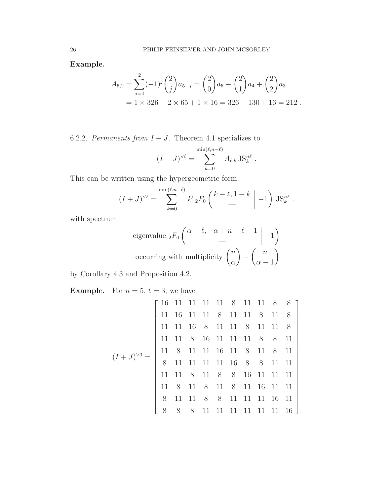Example.

$$
A_{5,2} = \sum_{j=0}^{2} (-1)^j {2 \choose j} a_{5-j} = {2 \choose 0} a_5 - {2 \choose 1} a_4 + {2 \choose 2} a_3
$$
  
= 1 × 326 - 2 × 65 + 1 × 16 = 326 - 130 + 16 = 212.

6.2.2. *Permanents from*  $I + J$ . Theorem 4.1 specializes to

$$
(I+J)^{\vee\ell} = \sum_{k=0}^{\min(\ell,n-\ell)} A_{\ell,k} \operatorname{JS}_k^{n\ell}.
$$

This can be written using the hypergeometric form:

$$
(I+J)^{\vee\ell} = \sum_{k=0}^{\min(\ell,n-\ell)} k! \, {}_2F_0 \left( \begin{array}{c} k-\ell, 1+k \\ - \end{array} \bigg| -1 \right) \, \text{JS}_k^{n\ell}
$$

.

1

 $\overline{a}$  $\frac{1}{2}$  $\begin{array}{c} \hline \end{array}$  $\frac{1}{2}$  $\begin{array}{c} \hline \end{array}$  $\overline{a}$  $\overline{a}$  $\overline{a}$  $\overline{a}$  $\frac{1}{2}$  $\begin{array}{c} \hline \end{array}$  $\overline{a}$  $\overline{a}$  $\overline{a}$  $\overline{a}$  $\overline{a}$  $\overline{a}$  $\overline{a}$  $\mathbf{r}$  $\overline{a}$ 

with spectrum

eigenvalue 
$$
{}_{2}F_{0}\begin{pmatrix} \alpha - \ell, -\alpha + n - \ell + 1 & | & -1 \end{pmatrix}
$$
  
occurring with multiplicity  $\begin{pmatrix} n \\ \alpha \end{pmatrix} - \begin{pmatrix} n \\ \alpha - 1 \end{pmatrix}$ 

by Corollary 4.3 and Proposition 4.2.

**Example.** For  $n = 5$ ,  $\ell = 3$ , we have

$$
(I+J)^{3} = \begin{bmatrix} 16 & 11 & 11 & 11 & 11 & 8 & 11 & 11 & 8 & 8 \\ 11 & 16 & 11 & 11 & 8 & 11 & 11 & 8 & 11 & 8 \\ 11 & 11 & 16 & 8 & 11 & 11 & 8 & 11 & 11 & 8 \\ 11 & 11 & 8 & 16 & 11 & 11 & 11 & 8 & 8 & 11 \\ 11 & 8 & 11 & 11 & 11 & 16 & 11 & 8 & 11 & 8 \\ 11 & 11 & 11 & 11 & 11 & 16 & 8 & 8 & 11 & 11 \\ 11 & 11 & 8 & 11 & 8 & 8 & 16 & 11 & 11 & 11 \\ 11 & 8 & 11 & 8 & 11 & 8 & 11 & 16 & 11 & 11 \\ 11 & 11 & 8 & 8 & 11 & 11 & 11 & 11 & 16 & 11 \\ 11 & 11 & 8 & 8 & 11 & 11 & 11 & 11 & 11 & 16 & 11 \\ 11 & 11 & 11 & 11 & 11 & 11 & 11 & 11 & 16 & 11 \\ 11 & 11 & 11 & 11 & 11 & 11 & 11 & 11 & 16 & 11 \\ 11 & 11 & 11 & 11 & 11 & 11 & 11 & 11 & 16 & 11 \\ 11 & 11 & 11 & 11 & 11 & 11 & 11 & 11 & 16 & 11 \\ 11 & 11 & 11 & 11 & 11 & 11 & 11 & 11 & 16 & 11 \\ 11 & 11 & 11 & 11 & 11 & 11 & 11 & 11 & 16 & 11 \\ 11 & 11 & 11 & 11 & 11 & 11 & 11 & 11 & 16 & 11 \\ 11 & 11 & 11 & 11 & 11 & 11 & 11 & 11 & 16 & 11 \\ 11 & 11 & 11 & 11 & 11 & 11 & 11 & 11 & 16 & 11 \\ 11 & 11 &
$$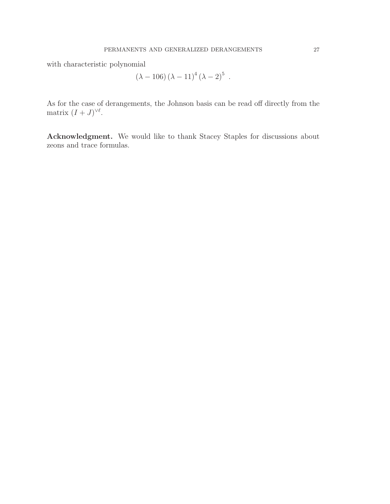with characteristic polynomial

$$
(\lambda - 106) (\lambda - 11)^4 (\lambda - 2)^5
$$
.

As for the case of derangements, the Johnson basis can be read off directly from the matrix  $(I+J)^{\vee\ell}$ .

Acknowledgment. We would like to thank Stacey Staples for discussions about zeons and trace formulas.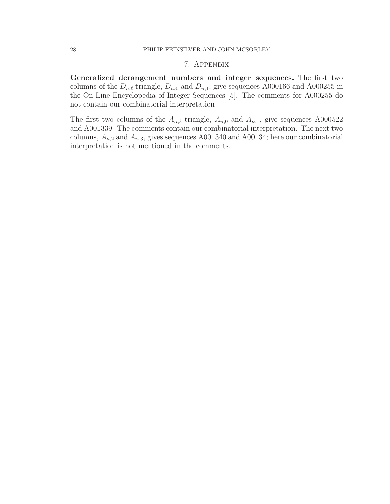#### 7. Appendix

Generalized derangement numbers and integer sequences. The first two columns of the  $D_{n,\ell}$  triangle,  $D_{n,0}$  and  $D_{n,1}$ , give sequences A000166 and A000255 in the On-Line Encyclopedia of Integer Sequences [5]. The comments for A000255 do not contain our combinatorial interpretation.

The first two columns of the  $A_{n,\ell}$  triangle,  $A_{n,0}$  and  $A_{n,1}$ , give sequences A000522 and A001339. The comments contain our combinatorial interpretation. The next two columns,  $A_{n,2}$  and  $A_{n,3}$ , gives sequences A001340 and A00134; here our combinatorial interpretation is not mentioned in the comments.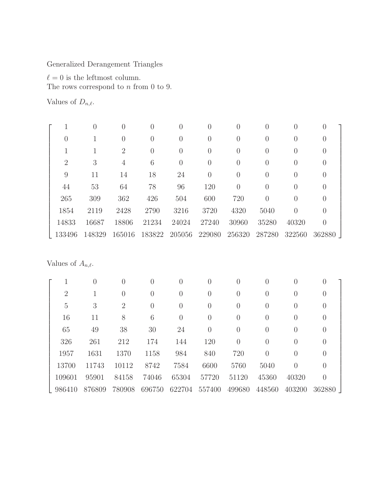Generalized Derangement Triangles

 $\ell=0$  is the leftmost column.

The rows correspond to  $n$  from  $0$  to  $9.$ 

Values of  $D_{n,\ell}$ .

|                |        |                  | $\left( \right)$ |                  |                  | 0              |                  | $\left( \right)$ |                  |  |
|----------------|--------|------------------|------------------|------------------|------------------|----------------|------------------|------------------|------------------|--|
| 0              |        | $\left( \right)$ | 0                |                  | $\left( \right)$ | 0              | 0                |                  |                  |  |
|                |        | 2                | 0                | $\theta$         | $\left( \right)$ | 0              | $\left( \right)$ | $\left( \right)$ | $\left( \right)$ |  |
| $\overline{2}$ | 3      | 4                | 6                | $\left( \right)$ | $\left( \right)$ | 0              | $\left( \right)$ | $\left( \right)$ | $\theta$         |  |
| 9              | 11     | 14               | 18               | 24               | $\left( \right)$ | $\overline{0}$ | $\left( \right)$ | $\left( \right)$ | $\left( \right)$ |  |
| 44             | 53     | 64               | 78               | 96               | 120              | $\overline{0}$ | $\left( \right)$ |                  | U                |  |
| 265            | 309    | 362              | 426              | 504              | 600              | 720            | 0                |                  | O                |  |
| 1854           | 2119   | 2428             | 2790             | 3216             | 3720             | 4320           | 5040             | $\left( \right)$ | $\left( \right)$ |  |
| 14833          | 16687  | 18806            | 21234            | 24024            | 27240            | 30960          | 35280            | 40320            | $\left( \right)$ |  |
| 133496         | 148329 | 165016           | 183822           | 205056           | 229080           | 256320         | 287280           | 322560           | 362880           |  |

Values of  $A_{n,\ell}$ .

|                | O      | $\left( \right)$ | 0              | $\left( \right)$ | $\left( \right)$ | 0                               | $\left( \right)$ | $\left( \right)$ | $\cup$           |  |
|----------------|--------|------------------|----------------|------------------|------------------|---------------------------------|------------------|------------------|------------------|--|
| $\overline{2}$ |        | 0                | $\overline{0}$ | $\theta$         | $\left( \right)$ | $\hspace{.0cm} 0 \hspace{.0cm}$ | 0                | $\left( \right)$ | $\theta$         |  |
| $\overline{5}$ | 3      | $\overline{2}$   | $\overline{0}$ | $\Omega$         | $\left( \right)$ | 0                               | $\left( \right)$ | $\left( \right)$ | $\theta$         |  |
| 16             | 11     | 8                | 6              | $\Omega$         | $\left( \right)$ | 0                               | 0                | $\left( \right)$ | $\theta$         |  |
| 65             | 49     | 38               | 30             | 24               | $\left( \right)$ | $\boldsymbol{0}$                | $\Omega$         | $\left( \right)$ | $\theta$         |  |
| 326            | 261    | 212              | 174            | 144              | 120              | $\overline{0}$                  | $\theta$         | $\left( \right)$ | $\Omega$         |  |
| 1957           | 1631   | 1370             | 1158           | 984              | 840              | 720                             | 0                | $\left( \right)$ | $\cup$           |  |
| 13700          | 11743  | 10112            | 8742           | 7584             | 6600             | 5760                            | 5040             | $\left( \right)$ | $\theta$         |  |
| 109601         | 95901  | 84158            | 74046          | 65304            | 57720            | 51120                           | 45360            | 40320            | $\left( \right)$ |  |
| 986410         | 876809 | 780908           | 696750         | 622704           | 557400           | 499680                          | 448560           | 403200           | 362880           |  |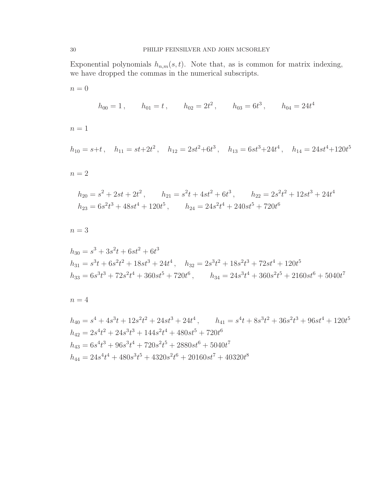Exponential polynomials  $h_{n,m}(s,t)$ . Note that, as is common for matrix indexing, we have dropped the commas in the numerical subscripts.

 $n = 0$  $h_{00} = 1$ ,  $h_{01} = t$ ,  $h_{02} = 2t^2$ ,  $h_{03} = 6t^3$ ,  $h_{04} = 24t^4$  $n = 1$  $h_{10} = s+t$ ,  $h_{11} = st+2t^2$ ,  $h_{12} = 2st^2+6t^3$ ,  $h_{13} = 6st^3+24t^4$ ,  $h_{14} = 24st^4+120t^5$  $n = 2$  $h_{20} = s^2 + 2st + 2t^2$ ,  $h_{21} = s^2t + 4st^2 + 6t^3$ ,  $h_{22} = 2s^2t^2 + 12st^3 + 24t^4$  $h_{23} = 6s^2t^3 + 48st^4 + 120t^5$ ,  $h_{24} = 24s^2t^4 + 240st^5 + 720t^6$  $n = 3$  $h_{30} = s^3 + 3s^2t + 6st^2 + 6t^3$  $h_{31} = s^3t + 6s^2t^2 + 18st^3 + 24t^4$ ,  $h_{32} = 2s^3t^2 + 18s^2t^3 + 72st^4 + 120t^5$  $h_{33} = 6s^3t^3 + 72s^2t^4 + 360st^5 + 720t^6$ ,  $h_{34} = 24s^3t^4 + 360s^2t^5 + 2160st^6 + 5040t^7$  $n = 4$ 

$$
h_{40} = s^4 + 4s^3t + 12s^2t^2 + 24st^3 + 24t^4, \qquad h_{41} = s^4t + 8s^3t^2 + 36s^2t^3 + 96st^4 + 120t^5
$$
  
\n
$$
h_{42} = 2s^4t^2 + 24s^3t^3 + 144s^2t^4 + 480st^5 + 720t^6
$$
  
\n
$$
h_{43} = 6s^4t^3 + 96s^3t^4 + 720s^2t^5 + 2880st^6 + 5040t^7
$$
  
\n
$$
h_{44} = 24s^4t^4 + 480s^3t^5 + 4320s^2t^6 + 20160st^7 + 40320t^8
$$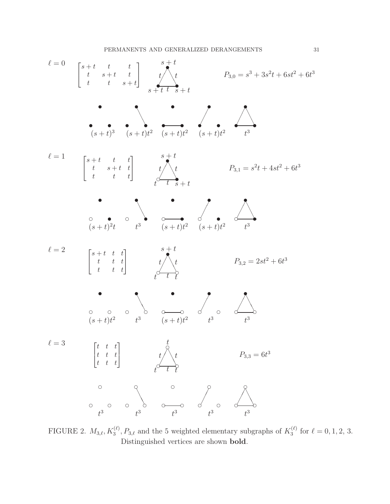

FIGURE 2.  $M_{3,\ell}, K_3^{(\ell)}, P_{3,\ell}$  and the 5 weighted elementary subgraphs of  $K_3^{(\ell)}$  $j_3^{(\ell)}$  for  $\ell = 0, 1, 2, 3$ . Distinguished vertices are shown bold.